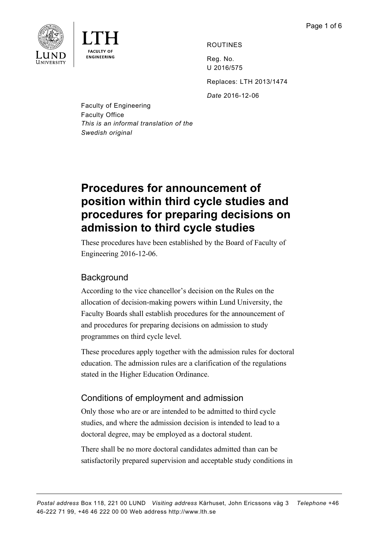

ROUTINES

Reg. No. U 2016/575

Replaces: LTH 2013/1474

*Date* 2016-12-06

Faculty of Engineering Faculty Office *This is an informal translation of the Swedish original*

# **Procedures for announcement of position within third cycle studies and procedures for preparing decisions on admission to third cycle studies**

These procedures have been established by the Board of Faculty of Engineering 2016-12-06.

# **Background**

According to the vice chancellor's decision on the Rules on the allocation of decision-making powers within Lund University, the Faculty Boards shall establish procedures for the announcement of and procedures for preparing decisions on admission to study programmes on third cycle level.

These procedures apply together with the admission rules for doctoral education. The admission rules are a clarification of the regulations stated in the Higher Education Ordinance.

# Conditions of employment and admission

Only those who are or are intended to be admitted to third cycle studies, and where the admission decision is intended to lead to a doctoral degree, may be employed as a doctoral student.

There shall be no more doctoral candidates admitted than can be satisfactorily prepared supervision and acceptable study conditions in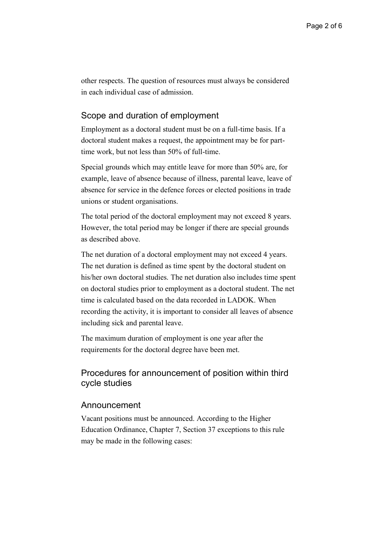other respects. The question of resources must always be considered in each individual case of admission.

### Scope and duration of employment

Employment as a doctoral student must be on a full-time basis. If a doctoral student makes a request, the appointment may be for parttime work, but not less than 50% of full-time.

Special grounds which may entitle leave for more than 50% are, for example, leave of absence because of illness, parental leave, leave of absence for service in the defence forces or elected positions in trade unions or student organisations.

The total period of the doctoral employment may not exceed 8 years. However, the total period may be longer if there are special grounds as described above.

The net duration of a doctoral employment may not exceed 4 years. The net duration is defined as time spent by the doctoral student on his/her own doctoral studies. The net duration also includes time spent on doctoral studies prior to employment as a doctoral student. The net time is calculated based on the data recorded in LADOK. When recording the activity, it is important to consider all leaves of absence including sick and parental leave.

The maximum duration of employment is one year after the requirements for the doctoral degree have been met.

## Procedures for announcement of position within third cycle studies

#### Announcement

Vacant positions must be announced. According to the Higher Education Ordinance, Chapter 7, Section 37 exceptions to this rule may be made in the following cases: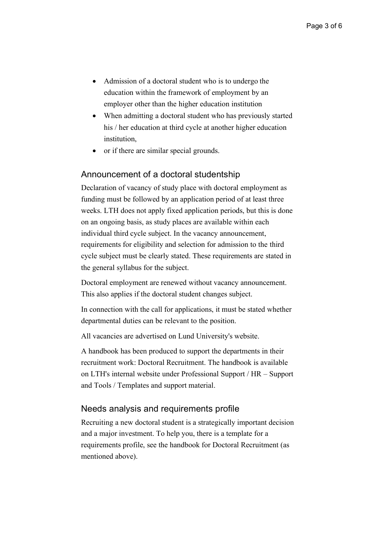- Admission of a doctoral student who is to undergo the education within the framework of employment by an employer other than the higher education institution
- When admitting a doctoral student who has previously started his / her education at third cycle at another higher education institution,
- or if there are similar special grounds.

## Announcement of a doctoral studentship

Declaration of vacancy of study place with doctoral employment as funding must be followed by an application period of at least three weeks. LTH does not apply fixed application periods, but this is done on an ongoing basis, as study places are available within each individual third cycle subject. In the vacancy announcement, requirements for eligibility and selection for admission to the third cycle subject must be clearly stated. These requirements are stated in the general syllabus for the subject.

Doctoral employment are renewed without vacancy announcement. This also applies if the doctoral student changes subject.

In connection with the call for applications, it must be stated whether departmental duties can be relevant to the position.

All vacancies are advertised on Lund University's website.

A handbook has been produced to support the departments in their recruitment work: Doctoral Recruitment. The handbook is available on LTH's internal website under Professional Support / HR – Support and Tools / Templates and support material.

## Needs analysis and requirements profile

Recruiting a new doctoral student is a strategically important decision and a major investment. To help you, there is a template for a requirements profile, see the handbook for Doctoral Recruitment (as mentioned above).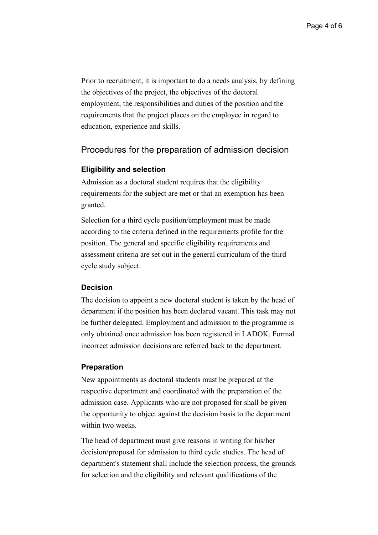Prior to recruitment, it is important to do a needs analysis, by defining the objectives of the project, the objectives of the doctoral employment, the responsibilities and duties of the position and the requirements that the project places on the employee in regard to education, experience and skills.

### Procedures for the preparation of admission decision

#### **Eligibility and selection**

Admission as a doctoral student requires that the eligibility requirements for the subject are met or that an exemption has been granted.

Selection for a third cycle position/employment must be made according to the criteria defined in the requirements profile for the position. The general and specific eligibility requirements and assessment criteria are set out in the general curriculum of the third cycle study subject.

#### **Decision**

The decision to appoint a new doctoral student is taken by the head of department if the position has been declared vacant. This task may not be further delegated. Employment and admission to the programme is only obtained once admission has been registered in LADOK. Formal incorrect admission decisions are referred back to the department.

#### **Preparation**

New appointments as doctoral students must be prepared at the respective department and coordinated with the preparation of the admission case. Applicants who are not proposed for shall be given the opportunity to object against the decision basis to the department within two weeks.

The head of department must give reasons in writing for his/her decision/proposal for admission to third cycle studies. The head of department's statement shall include the selection process, the grounds for selection and the eligibility and relevant qualifications of the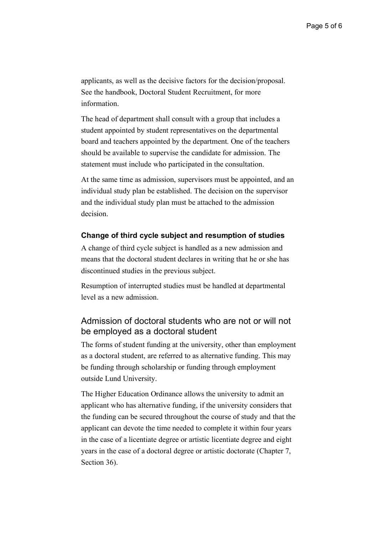applicants, as well as the decisive factors for the decision/proposal. See the handbook, Doctoral Student Recruitment, for more information.

The head of department shall consult with a group that includes a student appointed by student representatives on the departmental board and teachers appointed by the department. One of the teachers should be available to supervise the candidate for admission. The statement must include who participated in the consultation.

At the same time as admission, supervisors must be appointed, and an individual study plan be established. The decision on the supervisor and the individual study plan must be attached to the admission decision.

#### **Change of third cycle subject and resumption of studies**

A change of third cycle subject is handled as a new admission and means that the doctoral student declares in writing that he or she has discontinued studies in the previous subject.

Resumption of interrupted studies must be handled at departmental level as a new admission.

## Admission of doctoral students who are not or will not be employed as a doctoral student

The forms of student funding at the university, other than employment as a doctoral student, are referred to as alternative funding. This may be funding through scholarship or funding through employment outside Lund University.

The Higher Education Ordinance allows the university to admit an applicant who has alternative funding, if the university considers that the funding can be secured throughout the course of study and that the applicant can devote the time needed to complete it within four years in the case of a licentiate degree or artistic licentiate degree and eight years in the case of a doctoral degree or artistic doctorate (Chapter 7, Section 36).